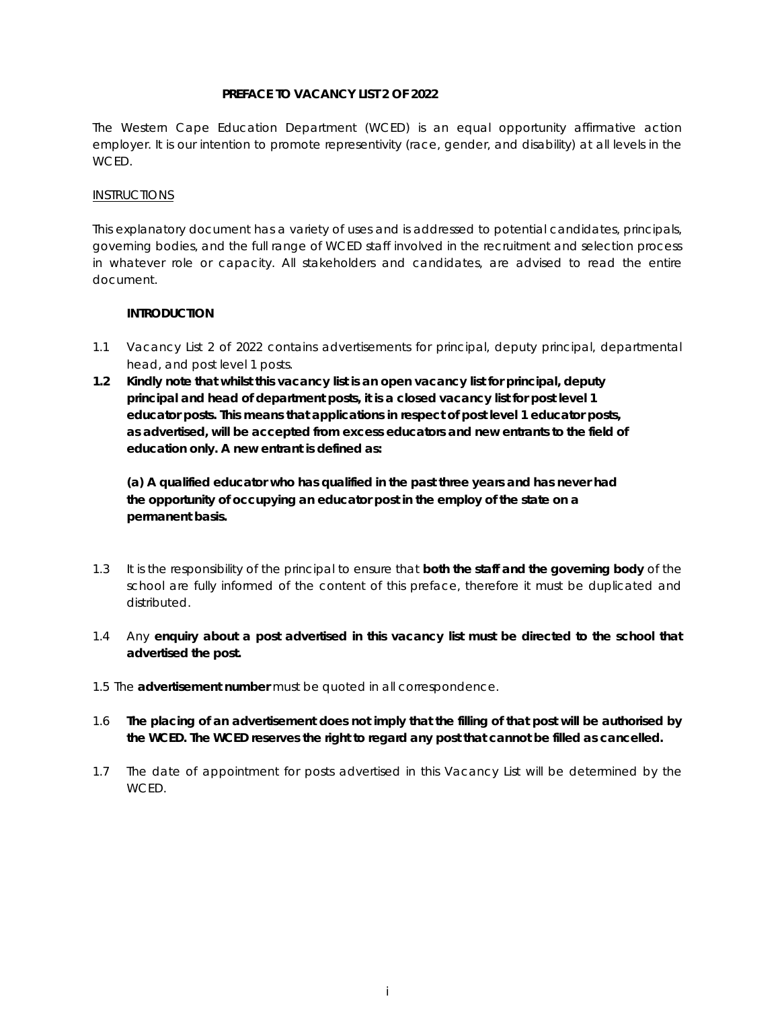## **PREFACE TO VACANCY LIST 2 OF 2022**

The Western Cape Education Department (WCED) is an equal opportunity affirmative action employer. It is our intention to promote representivity (race, gender, and disability) at all levels in the WCED.

## INSTRUCTIONS

This explanatory document has a variety of uses and is addressed to potential candidates, principals, governing bodies, and the full range of WCED staff involved in the recruitment and selection process in whatever role or capacity. All stakeholders and candidates, are advised to read the entire document.

# **INTRODUCTION**

- 1.1 Vacancy List 2 of 2022 contains advertisements for principal, deputy principal, departmental head, and post level 1 posts.
- **1.2 Kindly note that whilst this vacancy list is an open vacancy list for principal, deputy principal and head of department posts, it is a closed vacancy list for post level 1 educator posts. This means that applications in respect of post level 1 educator posts, as advertised, will be accepted from excess educators and new entrants to the field of education only. A new entrant is defined as:**

**(a) A qualified educator who has qualified in the past three years and has never had the opportunity of occupying an educator post in the employ of the state on a permanent basis.** 

- 1.3 It is the responsibility of the principal to ensure that **both the staff and the governing body** of the school are fully informed of the content of this preface, therefore it must be duplicated and distributed.
- 1.4 Any **enquiry about a post advertised in this vacancy list must be directed to the school that advertised the post.**
- 1.5 The **advertisement number** must be quoted in all correspondence.
- 1.6 **The placing of an advertisement does not imply that the filling of that post will be authorised by the WCED. The WCED reserves the right to regard any post that cannot be filled as cancelled.**
- 1.7 The date of appointment for posts advertised in this Vacancy List will be determined by the WCED.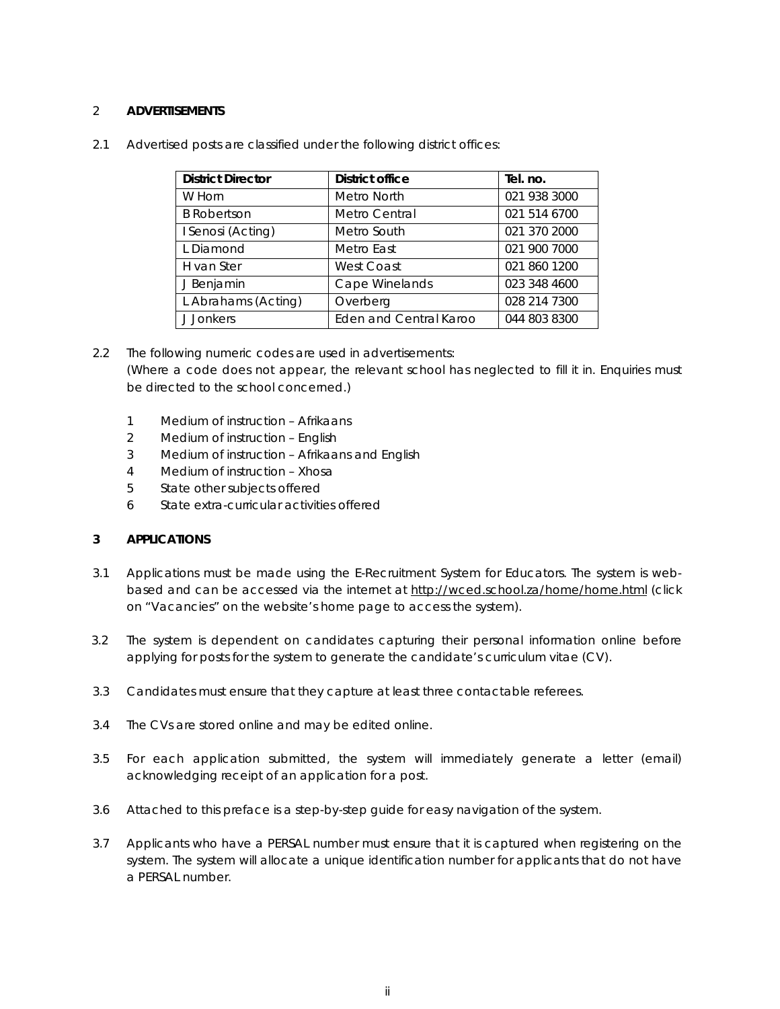## 2 **ADVERTISEMENTS**

| <b>District Director</b> | <b>District office</b>        | Tel. no.     |
|--------------------------|-------------------------------|--------------|
| W Horn                   | Metro North                   | 021 938 3000 |
| <b>B</b> Robertson       | Metro Central                 | 021 514 6700 |
| I Senosi (Acting)        | Metro South                   | 021 370 2000 |
| L Diamond                | Metro East                    | 021 900 7000 |
| H van Ster               | West Coast                    | 021 860 1200 |
| J Benjamin               | Cape Winelands                | 023 348 4600 |
| L Abrahams (Acting)      | Overberg                      | 028 214 7300 |
| J Jonkers                | <b>Eden and Central Karoo</b> | 044 803 8300 |

2.1 Advertised posts are classified under the following district offices:

2.2 The following numeric codes are used in advertisements: (Where a code does not appear, the relevant school has neglected to fill it in. Enquiries must be directed to the school concerned.)

- 1 Medium of instruction Afrikaans
- 2 Medium of instruction English
- 3 Medium of instruction Afrikaans and English
- 4 Medium of instruction Xhosa
- 5 State other subjects offered
- 6 State extra-curricular activities offered

## **3 APPLICATIONS**

- 3.1 Applications must be made using the E-Recruitment System for Educators. The system is webbased and can be accessed via the internet at http://wced.school.za/home/home.html (click on "Vacancies" on the website's home page to access the system).
- 3.2 The system is dependent on candidates capturing their personal information online before applying for posts for the system to generate the candidate's curriculum vitae (CV).
- 3.3 Candidates must ensure that they capture at least three contactable referees.
- 3.4 The CVs are stored online and may be edited online.
- 3.5 For each application submitted, the system will immediately generate a letter (email) acknowledging receipt of an application for a post.
- 3.6 Attached to this preface is a step-by-step guide for easy navigation of the system.
- 3.7 Applicants who have a PERSAL number must ensure that it is captured when registering on the system. The system will allocate a unique identification number for applicants that do not have a PERSAL number.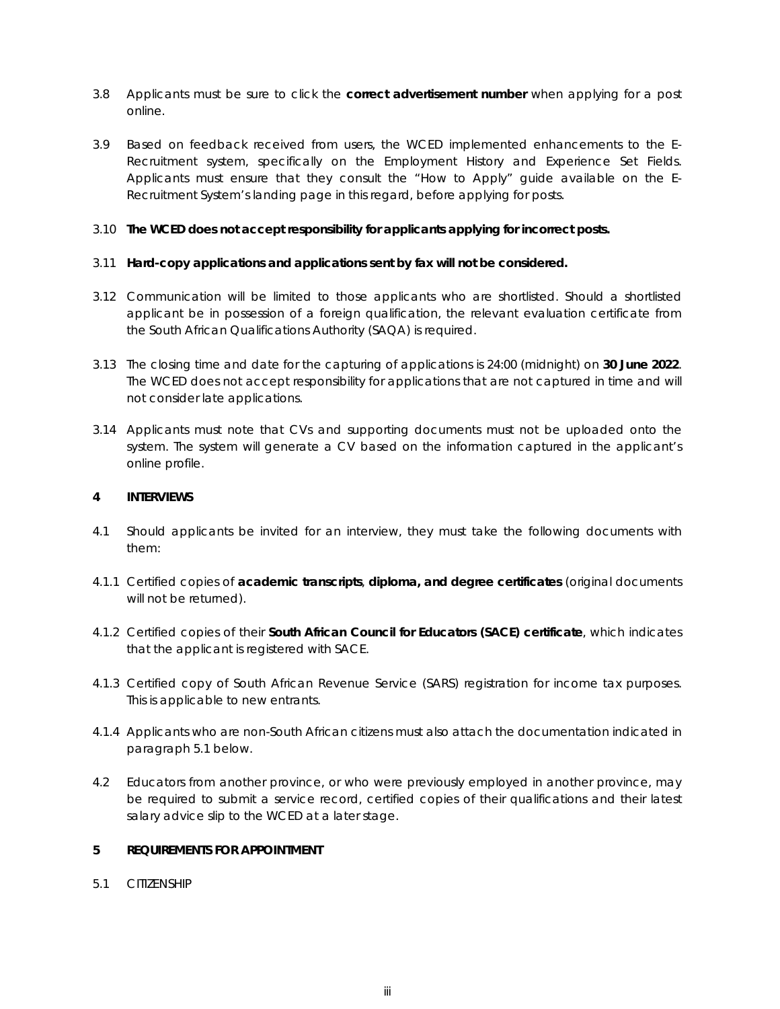- 3.8 Applicants must be sure to click the **correct advertisement number** when applying for a post online.
- 3.9 Based on feedback received from users, the WCED implemented enhancements to the E-Recruitment system, specifically on the Employment History and Experience Set Fields. Applicants must ensure that they consult the "How to Apply" guide available on the E-Recruitment System's landing page in this regard, before applying for posts.

## 3.10 **The WCED does not accept responsibility for applicants applying for incorrect posts.**

## 3.11 **Hard-copy applications and applications sent by fax will not be considered.**

- 3.12 Communication will be limited to those applicants who are shortlisted. Should a shortlisted applicant be in possession of a foreign qualification, the relevant evaluation certificate from the South African Qualifications Authority (SAQA) is required.
- 3.13 The closing time and date for the capturing of applications is 24:00 (midnight) on **30 June 2022**. The WCED does not accept responsibility for applications that are not captured in time and will not consider late applications.
- 3.14 Applicants must note that CVs and supporting documents must not be uploaded onto the system. The system will generate a CV based on the information captured in the applicant's online profile.

## **4 INTERVIEWS**

- 4.1 Should applicants be invited for an interview, they must take the following documents with them:
- 4.1.1 Certified copies of **academic transcripts**, **diploma, and degree certificates** (original documents will not be returned).
- 4.1.2 Certified copies of their **South African Council for Educators (SACE) certificate**, which indicates that the applicant is registered with SACE.
- 4.1.3 Certified copy of South African Revenue Service (SARS) registration for income tax purposes. This is applicable to new entrants.
- 4.1.4 Applicants who are non-South African citizens must also attach the documentation indicated in paragraph 5.1 below.
- 4.2 Educators from another province, or who were previously employed in another province, may be required to submit a service record, certified copies of their qualifications and their latest salary advice slip to the WCED at a later stage.

## **5 REQUIREMENTS FOR APPOINTMENT**

5.1 CITIZENSHIP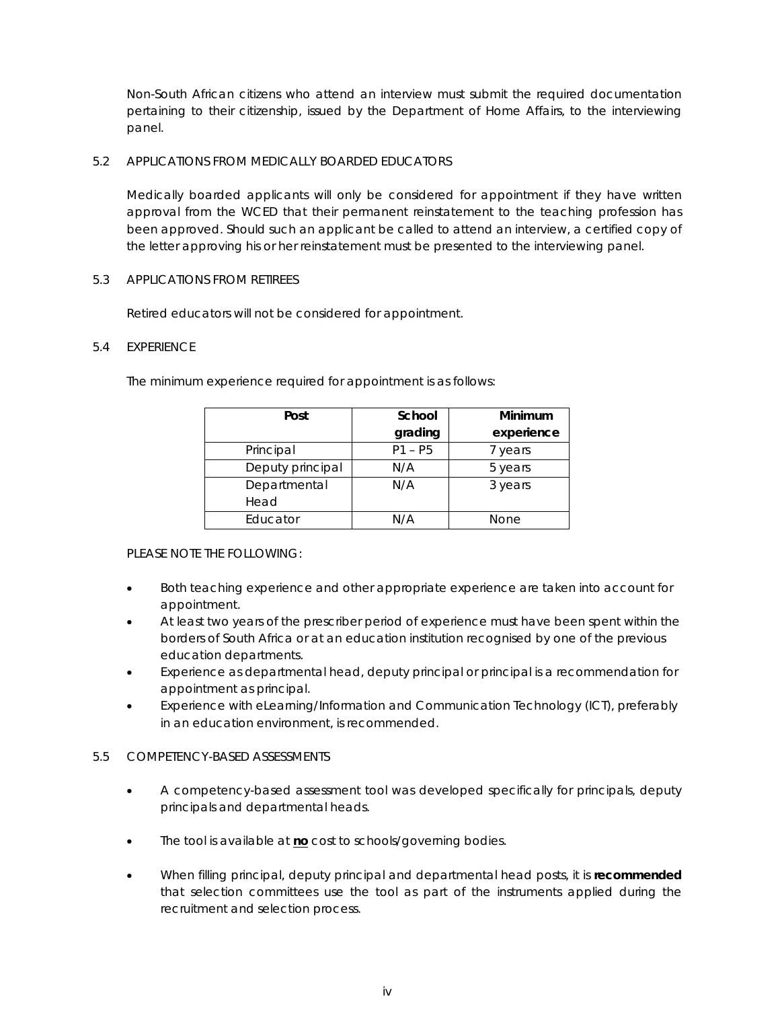Non-South African citizens who attend an interview must submit the required documentation pertaining to their citizenship, issued by the Department of Home Affairs, to the interviewing panel.

## 5.2 APPLICATIONS FROM MEDICALLY BOARDED EDUCATORS

Medically boarded applicants will only be considered for appointment if they have written approval from the WCED that their permanent reinstatement to the teaching profession has been approved. Should such an applicant be called to attend an interview, a certified copy of the letter approving his or her reinstatement must be presented to the interviewing panel.

### 5.3 APPLICATIONS FROM RETIREES

Retired educators will not be considered for appointment.

## 5.4 EXPERIENCE

The minimum experience required for appointment is as follows:

| Post             | School    | Minimum     |
|------------------|-----------|-------------|
|                  | grading   | experience  |
| Principal        | $P1 - P5$ | 7 years     |
| Deputy principal | N/A       | 5 years     |
| Departmental     | N/A       | 3 years     |
| Head             |           |             |
| Educator         | N/A       | <b>None</b> |

# PLEASE NOTE THE FOLLOWING:

- Both teaching experience and other appropriate experience are taken into account for appointment.
- At least two years of the prescriber period of experience must have been spent within the borders of South Africa or at an education institution recognised by one of the previous education departments.
- Experience as departmental head, deputy principal or principal is a recommendation for appointment as principal.
- Experience with eLearning/Information and Communication Technology (ICT), preferably in an education environment, is recommended.

# 5.5 COMPETENCY-BASED ASSESSMENTS

- A competency-based assessment tool was developed specifically for principals, deputy principals and departmental heads.
- The tool is available at **no** cost to schools/governing bodies.
- When filling principal, deputy principal and departmental head posts, it is **recommended** that selection committees use the tool as part of the instruments applied during the recruitment and selection process.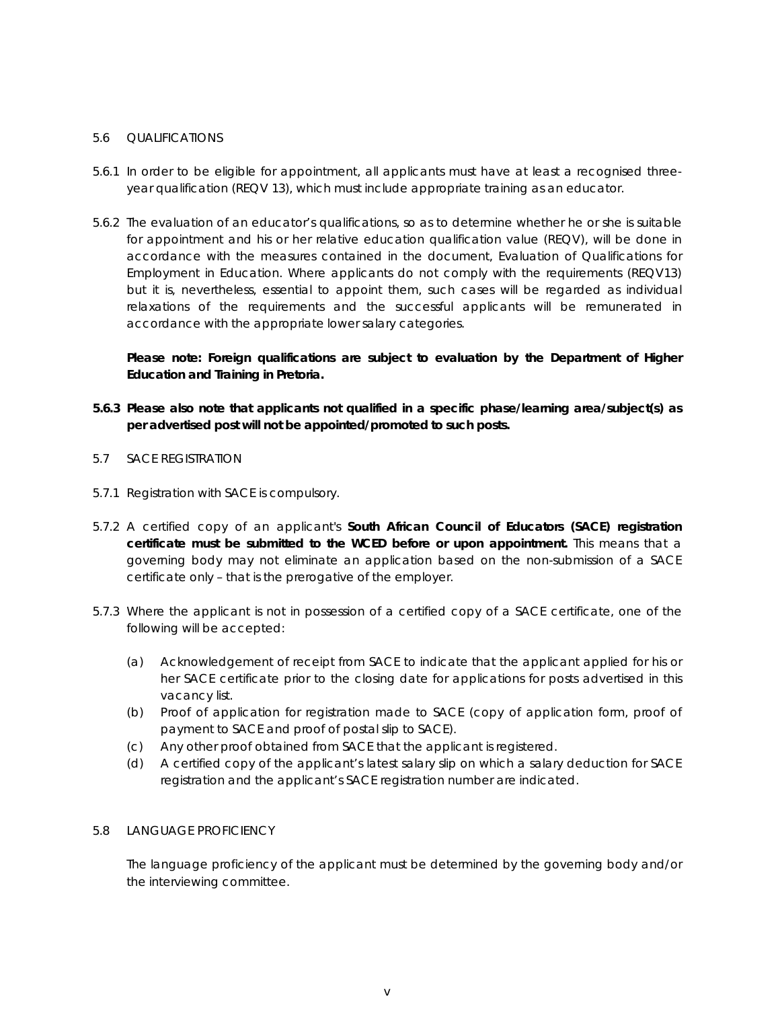## 5.6 QUALIFICATIONS

- 5.6.1 In order to be eligible for appointment, all applicants must have at least a recognised threeyear qualification (REQV 13), which must include appropriate training as an educator.
- 5.6.2 The evaluation of an educator's qualifications, so as to determine whether he or she is suitable for appointment and his or her relative education qualification value (REQV), will be done in accordance with the measures contained in the document, *Evaluation of Qualifications for Employment in Education.* Where applicants do not comply with the requirements (REQV13) but it is, nevertheless, essential to appoint them, such cases will be regarded as individual relaxations of the requirements and the successful applicants will be remunerated in accordance with the appropriate lower salary categories.

**Please note: Foreign qualifications are subject to evaluation by the Department of Higher Education and Training in Pretoria.** 

- **5.6.3 Please also note that applicants not qualified in a specific phase/learning area/subject(s) as per advertised post will not be appointed/promoted to such posts.**
- 5.7 SACE REGISTRATION
- 5.7.1 Registration with SACE is compulsory.
- 5.7.2 A certified copy of an applicant's **South African Council of Educators (SACE) registration certificate must be submitted to the WCED before or upon appointment.** This means that a governing body may not eliminate an application based on the non-submission of a SACE certificate only – that is the prerogative of the employer.
- 5.7.3 Where the applicant is not in possession of a certified copy of a SACE certificate, one of the following will be accepted:
	- (a) Acknowledgement of receipt from SACE to indicate that the applicant applied for his or her SACE certificate prior to the closing date for applications for posts advertised in this vacancy list.
	- (b) Proof of application for registration made to SACE (copy of application form, proof of payment to SACE and proof of postal slip to SACE).
	- (c) Any other proof obtained from SACE that the applicant is registered.
	- (d) A certified copy of the applicant's latest salary slip on which a salary deduction for SACE registration and the applicant's SACE registration number are indicated.

### 5.8 LANGUAGE PROFICIENCY

The language proficiency of the applicant must be determined by the governing body and/or the interviewing committee.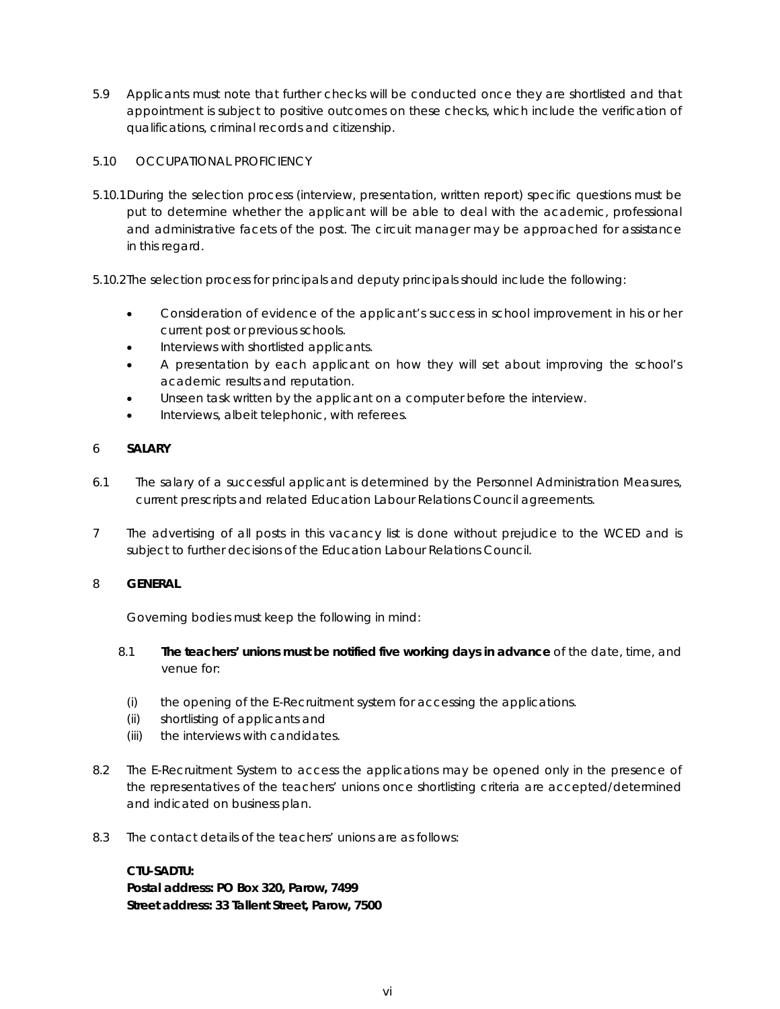5.9 Applicants must note that further checks will be conducted once they are shortlisted and that appointment is subject to positive outcomes on these checks, which include the verification of qualifications, criminal records and citizenship.

## 5.10 OCCUPATIONAL PROFICIENCY

- 5.10.1During the selection process (interview, presentation, written report) specific questions must be put to determine whether the applicant will be able to deal with the academic, professional and administrative facets of the post. The circuit manager may be approached for assistance in this regard.
- 5.10.2The selection process for principals and deputy principals should include the following:
	- Consideration of evidence of the applicant's success in school improvement in his or her current post or previous schools.
	- Interviews with shortlisted applicants.
	- A presentation by each applicant on how they will set about improving the school's academic results and reputation.
	- Unseen task written by the applicant on a computer before the interview.
	- Interviews, albeit telephonic, with referees.

# 6 **SALARY**

- 6.1 The salary of a successful applicant is determined by the Personnel Administration Measures, current prescripts and related Education Labour Relations Council agreements.
- 7 The advertising of all posts in this vacancy list is done without prejudice to the WCED and is subject to further decisions of the Education Labour Relations Council.

### 8 **GENERAL**

Governing bodies must keep the following in mind:

- 8.1 **The teachers' unions must be notified five working days in advance** of the date, time, and venue for:
	- (i) the opening of the E-Recruitment system for accessing the applications.
	- (ii) shortlisting of applicants and
	- (iii) the interviews with candidates.
- 8.2 The E-Recruitment System to access the applications may be opened only in the presence of the representatives of the teachers' unions once shortlisting criteria are accepted/determined and indicated on business plan.
- 8.3 The contact details of the teachers' unions are as follows:

### **CTU-SADTU:**

**Postal address: PO Box 320, Parow, 7499 Street address: 33 Tallent Street, Parow, 7500**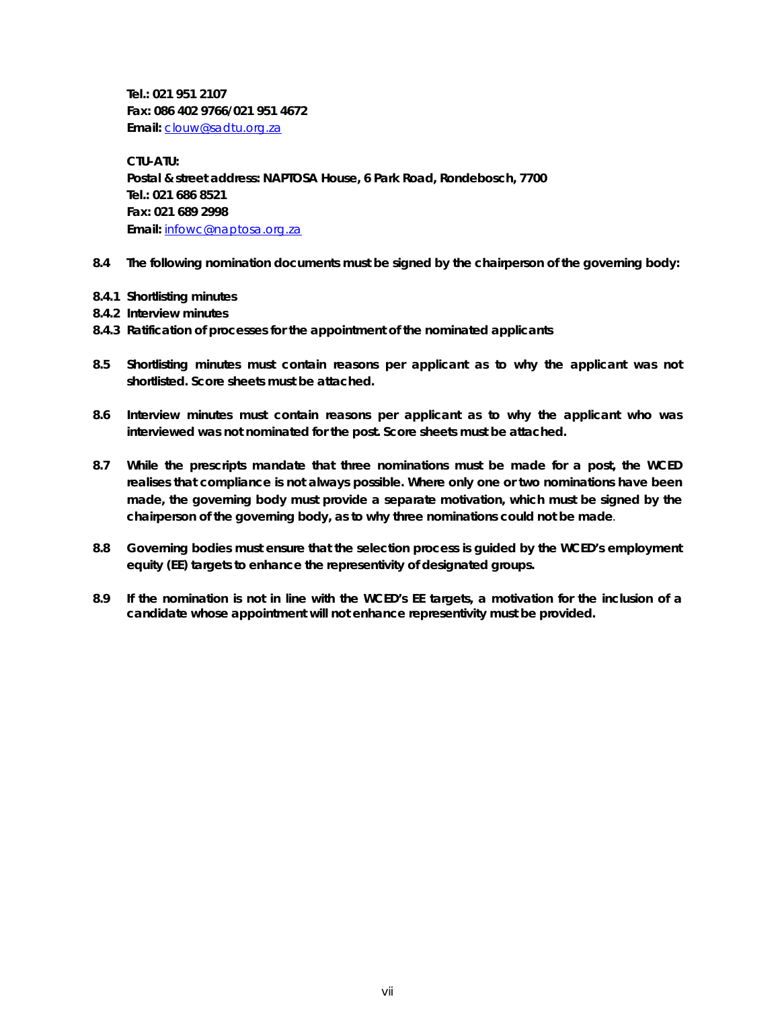**Tel.: 021 951 2107 Fax: 086 402 9766/021 951 4672 Email:** clouw@sadtu.org.za

**CTU-ATU: Postal & street address: NAPTOSA House, 6 Park Road, Rondebosch, 7700 Tel.: 021 686 8521 Fax: 021 689 2998 Email:** infowc@naptosa.org.za

- **8.4 The following nomination documents must be signed by the chairperson of the governing body:**
- **8.4.1 Shortlisting minutes**
- **8.4.2 Interview minutes**
- **8.4.3 Ratification of processes for the appointment of the nominated applicants**
- **8.5 Shortlisting minutes must contain reasons per applicant as to why the applicant was not shortlisted. Score sheets must be attached.**
- **8.6 Interview minutes must contain reasons per applicant as to why the applicant who was interviewed was not nominated for the post. Score sheets must be attached.**
- **8.7 While the prescripts mandate that three nominations must be made for a post, the WCED realises that compliance is not always possible. Where only one or two nominations have been made, the governing body must provide a separate motivation, which must be signed by the chairperson of the governing body, as to why three nominations could not be made**.
- **8.8 Governing bodies must ensure that the selection process is guided by the WCED's employment equity (EE) targets to enhance the representivity of designated groups.**
- **8.9 If the nomination is not in line with the WCED's EE targets, a motivation for the inclusion of a candidate whose appointment will not enhance representivity must be provided.**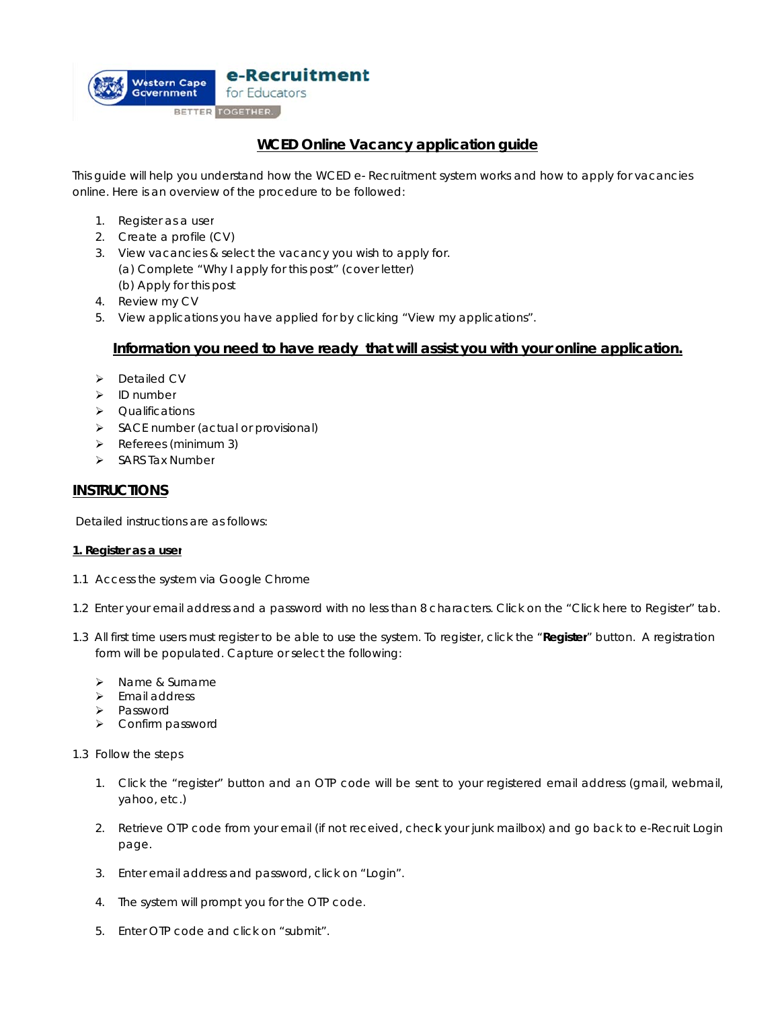

# **<u>WCED Online Vacancy application quide</u>**

This guide will help you understand how the WCED e- Recruitment system works and how to apply for vacancies online. Here is an overview of the procedure to be followed:

- 1. Register as a user
- 2. Crea te a profile (C CV)
- 3. View vacancies & select the vacancy you wish to apply for. (a) Complete "Why I apply for this post" (cover letter) (b) A Apply for this p post
- 4. Review my CV
- 5. View applications you have applied for by clicking "View my applications".

# Information you need to have ready that will assist you with your online application.

- > Detailed CV
- > ID number
- > Qualifications
- > SACE number (actual or provisional)
- > Referees (minimum 3)
- > SARS Tax Number

## **INSTRUCTIONS**

Detailed instructions are as follows:

### **1. Register as a user**

- 1.1 Access the system via Google Chrome
- 1.2 Enter your email address and a password with no less than 8 characters. Click on the "Click here to Register" tab.
- 1.3 All first time users must register to be able to use the system. To register, click the "**Register**" button. A registration form will be populated. Capture or select the following:
	- > Name & Surname
	- > Email address
	- > Password
	- Conf irm password
- 1.3 Follow the steps
	- 1. Click the "register" button and an OTP code will be sent to your registered email address (gmail, webmail, yahoo, etc.)
	- 2. Retrieve OTP code from your email (if not received, check your junk mailbox) and go back to e-Recruit Login page.
	- 3. Enter email address and password, click on "Login".
	- 4. The system will prompt you for the OTP code.
	- 5. Enter OTP code and click on "submit".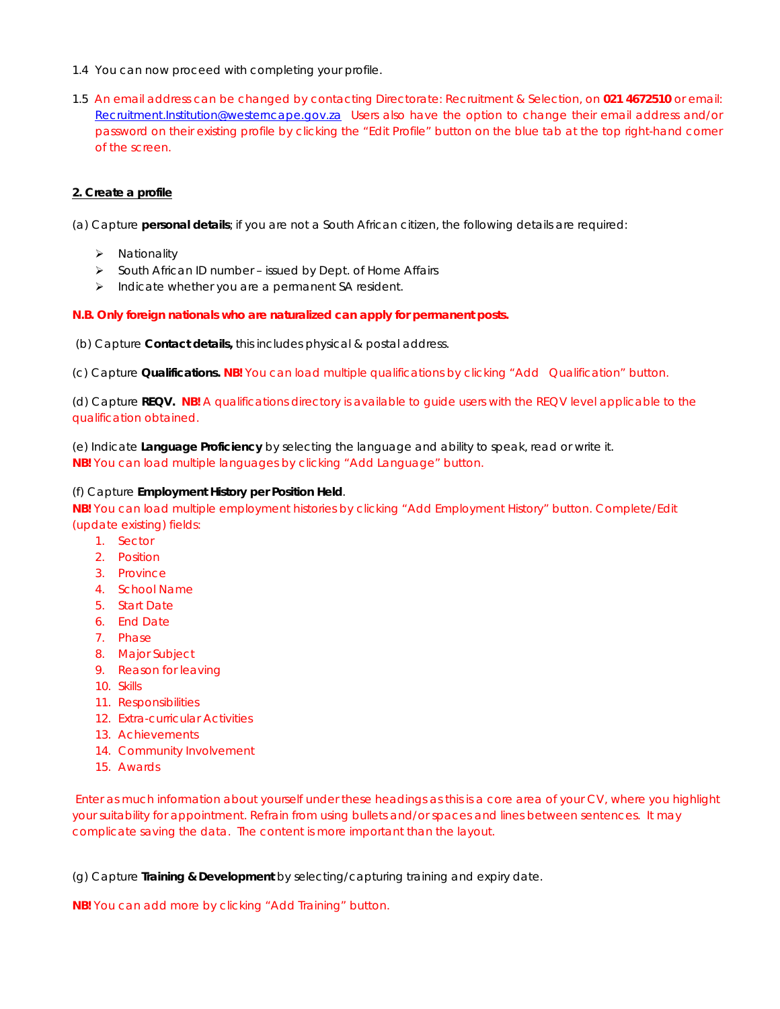- 1.4 You can now proceed with completing your profile.
- 1.5 An email address can be changed by contacting Directorate: Recruitment & Selection, on **021 4672510** or email: Recruitment.Institution@westerncape.gov.za Users also have the option to change their email address and/or password on their existing profile by clicking the "Edit Profile" button on the blue tab at the top right-hand corner of the screen.

## **2. Create a profile**

(a) Capture *personal details*; if you are not a South African citizen, the following details are required:

- $\triangleright$  Nationality
- $\triangleright$  South African ID number issued by Dept. of Home Affairs
- $\triangleright$  Indicate whether you are a permanent SA resident.

### **N.B. Only foreign nationals who are naturalized can apply for permanent posts.**

(b) Capture *Contact details,* this includes physical & postal address.

(c) Capture *Qualifications.* **NB!** You can load multiple qualifications by clicking "Add Qualification" button.

(d) Capture *REQV***. NB!** A qualifications directory is available to guide users with the REQV level applicable to the qualification obtained.

(e) Indicate *Language Proficiency* by selecting the language and ability to speak, read or write it. **NB!** You can load multiple languages by clicking "Add Language" button.

### (f) Capture *Employment History per Position Held*.

**NB!** You can load multiple employment histories by clicking "Add Employment History" button. Complete/Edit (update existing) fields:

- 1. Sector
- 2. Position
- 3. Province
- 4. School Name
- 5. Start Date
- 6. End Date
- 7. Phase
- 8. Major Subject
- 9. Reason for leaving
- 10. Skills
- 11. Responsibilities
- 12. Extra-curricular Activities
- 13. Achievements
- 14. Community Involvement
- 15. Awards

 Enter as much information about yourself under these headings as this is a core area of your CV, where you highlight your suitability for appointment. Refrain from using bullets and/or spaces and lines between sentences. It may complicate saving the data. The content is more important than the layout.

(g) Capture *Training & Development* by selecting/capturing training and expiry date.

**NB!** You can add more by clicking "Add Training" button.